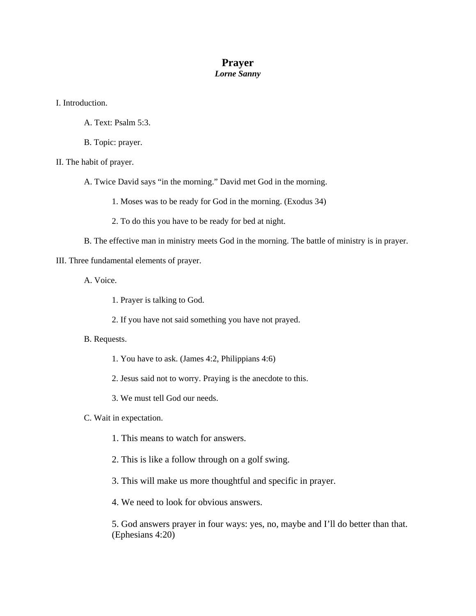## **Prayer**  *Lorne Sanny*

I. Introduction.

- A. Text: Psalm 5:3.
- B. Topic: prayer.
- II. The habit of prayer.
	- A. Twice David says "in the morning." David met God in the morning.
		- 1. Moses was to be ready for God in the morning. (Exodus 34)
		- 2. To do this you have to be ready for bed at night.
	- B. The effective man in ministry meets God in the morning. The battle of ministry is in prayer.

## III. Three fundamental elements of prayer.

- A. Voice.
	- 1. Prayer is talking to God.
	- 2. If you have not said something you have not prayed.

## B. Requests.

- 1. You have to ask. (James 4:2, Philippians 4:6)
- 2. Jesus said not to worry. Praying is the anecdote to this.
- 3. We must tell God our needs.
- C. Wait in expectation.
	- 1. This means to watch for answers.
	- 2. This is like a follow through on a golf swing.
	- 3. This will make us more thoughtful and specific in prayer.
	- 4. We need to look for obvious answers.

5. God answers prayer in four ways: yes, no, maybe and I'll do better than that. (Ephesians 4:20)